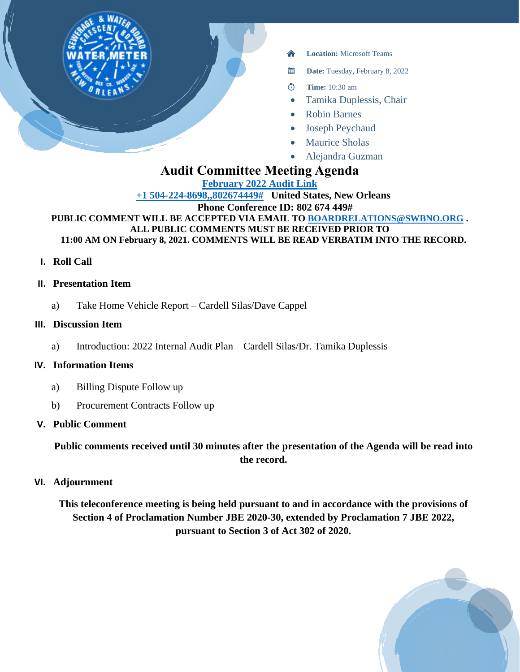

- **Location:** Microsoft Teams
- 當 **Date:** Tuesday, February 8, 2022
- **Time:** 10:30 am  $\circledcirc$
- Tamika Duplessis, Chair
- Robin Barnes
- Joseph Peychaud
- **Maurice Sholas**
- Alejandra Guzman

# **Audit Committee Meeting Agenda**

**[February 2022 Audit Link](https://teams.microsoft.com/l/meetup-join/19%3ameeting_NzRjNTkyMWItNWY4MS00MmI1LTk3Y2EtNjcxNmJkZDAxNGEw%40thread.v2/0?context=%7b%22Tid%22%3a%22db706155-4aa7-4a5e-b348-b35c3136f6a7%22%2c%22Oid%22%3a%22fcca2b1f-7895-42f0-8972-2f2b78d70e78%22%7d)**

**[+1 504-224-8698,,802674449#](tel:+15042248698,,802674449# ) United States, New Orleans Phone Conference ID: 802 674 449#**

**PUBLIC COMMENT WILL BE ACCEPTED VIA EMAIL TO [BOARDRELATIONS@SWBNO.ORG](mailto:BOARDRELATIONS@SWBNO.ORG) . ALL PUBLIC COMMENTS MUST BE RECEIVED PRIOR TO 11:00 AM ON February 8, 2021. COMMENTS WILL BE READ VERBATIM INTO THE RECORD.**

**I. Roll Call**

## **II. Presentation Item**

a) Take Home Vehicle Report – Cardell Silas/Dave Cappel

## **III. Discussion Item**

a) Introduction: 2022 Internal Audit Plan – Cardell Silas/Dr. Tamika Duplessis

## **IV. Information Items**

- a) Billing Dispute Follow up
- b) Procurement Contracts Follow up

## **V. Public Comment**

**Public comments received until 30 minutes after the presentation of the Agenda will be read into the record.**

**VI. Adjournment**

**This teleconference meeting is being held pursuant to and in accordance with the provisions of Section 4 of Proclamation Number JBE 2020-30, extended by Proclamation 7 JBE 2022, pursuant to Section 3 of Act 302 of 2020.**